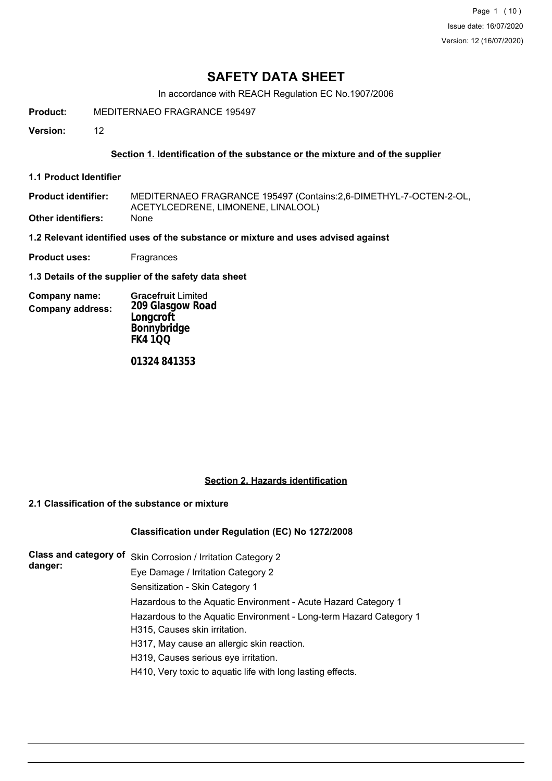Page 1 (10) Issue date: 16/07/2020 Version: 12 (16/07/2020)

## **SAFETY DATA SHEET**

In accordance with REACH Regulation EC No.1907/2006

**Product:** MEDITERNAEO FRAGRANCE 195497

**Version:** 12

### **Section 1. Identification of the substance or the mixture and of the supplier**

**1.1 Product Identifier**

MEDITERNAEO FRAGRANCE 195497 (Contains:2,6-DIMETHYL-7-OCTEN-2-OL, ACETYLCEDRENE, LIMONENE, LINALOOL) **Product identifier: Other identifiers:** 

**1.2 Relevant identified uses of the substance or mixture and uses advised against**

**Product uses:** Fragrances

**1.3 Details of the supplier of the safety data sheet**

| Company name:           | <b>Gracefruit Limited</b> |
|-------------------------|---------------------------|
| <b>Company address:</b> | 209 Glasgow Road          |
|                         | Longcroft                 |
|                         | Bonnybridge               |
|                         | <b>FK4100</b>             |

*01324 841353*

### **Section 2. Hazards identification**

## **2.1 Classification of the substance or mixture**

### **Classification under Regulation (EC) No 1272/2008**

| danger: | Class and category of Skin Corrosion / Irritation Category 2       |
|---------|--------------------------------------------------------------------|
|         | Eye Damage / Irritation Category 2                                 |
|         | Sensitization - Skin Category 1                                    |
|         | Hazardous to the Aquatic Environment - Acute Hazard Category 1     |
|         | Hazardous to the Aquatic Environment - Long-term Hazard Category 1 |
|         | H315, Causes skin irritation.                                      |
|         | H317, May cause an allergic skin reaction.                         |
|         | H319, Causes serious eye irritation.                               |
|         | H410, Very toxic to aquatic life with long lasting effects.        |
|         |                                                                    |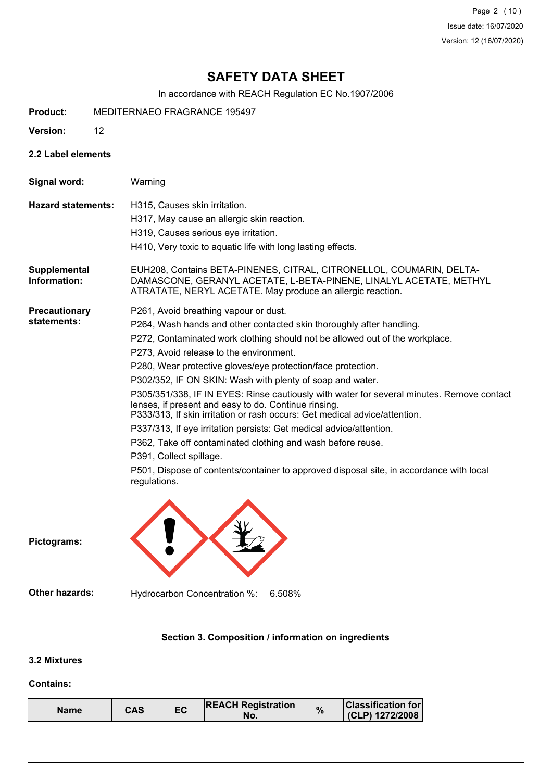Page 2 (10) Issue date: 16/07/2020 Version: 12 (16/07/2020)

# **SAFETY DATA SHEET**

In accordance with REACH Regulation EC No.1907/2006

- **Product:** MEDITERNAEO FRAGRANCE 195497
- **Version:** 12
- **2.2 Label elements**
- **Signal word:** Warning

- **Hazard statements:** H315, Causes skin irritation.
	- H317, May cause an allergic skin reaction.
		- H319, Causes serious eye irritation.
		- H410, Very toxic to aquatic life with long lasting effects.
- EUH208, Contains BETA-PINENES, CITRAL, CITRONELLOL, COUMARIN, DELTA-DAMASCONE, GERANYL ACETATE, L-BETA-PINENE, LINALYL ACETATE, METHYL ATRATATE, NERYL ACETATE. May produce an allergic reaction. **Supplemental Information:**
- **Precautionary statements:**
- P261, Avoid breathing vapour or dust.
	- P264, Wash hands and other contacted skin thoroughly after handling.
	- P272, Contaminated work clothing should not be allowed out of the workplace.
		- P273, Avoid release to the environment.
		- P280, Wear protective gloves/eye protection/face protection.
		- P302/352, IF ON SKIN: Wash with plenty of soap and water.
	- P305/351/338, IF IN EYES: Rinse cautiously with water for several minutes. Remove contact lenses, if present and easy to do. Continue rinsing.
	- P333/313, If skin irritation or rash occurs: Get medical advice/attention.
	- P337/313, If eye irritation persists: Get medical advice/attention.
	- P362, Take off contaminated clothing and wash before reuse.
	- P391, Collect spillage.
	- P501, Dispose of contents/container to approved disposal site, in accordance with local regulations.

**Pictograms:**

**Other hazards:** Hydrocarbon Concentration %: 6.508%

### **Section 3. Composition / information on ingredients**

### **3.2 Mixtures**

#### **Contains:**

| EC<br>CAS<br>Name | <b>REACH Registration</b><br>NO. | % | <b>Classification for</b><br>(CLP) 1272/2008 |
|-------------------|----------------------------------|---|----------------------------------------------|
|-------------------|----------------------------------|---|----------------------------------------------|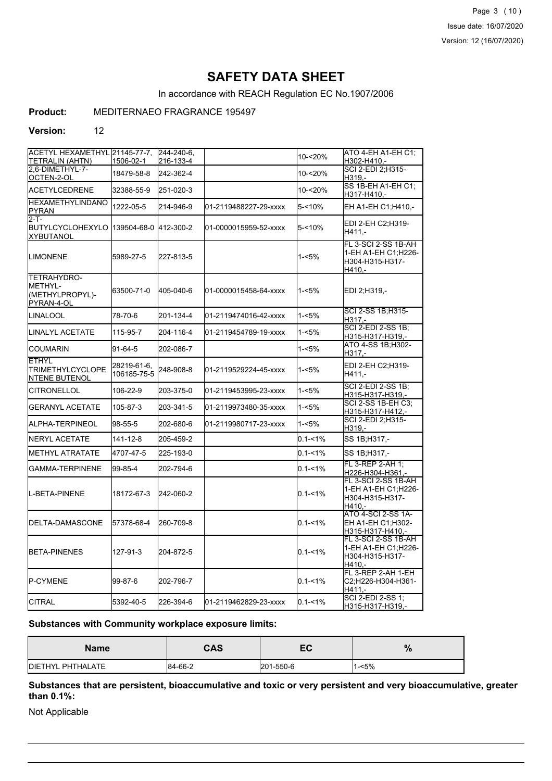Page 3 (10) Issue date: 16/07/2020 Version: 12 (16/07/2020)

## **SAFETY DATA SHEET**

In accordance with REACH Regulation EC No.1907/2006

## **Product:** MEDITERNAEO FRAGRANCE 195497

### **Version:** 12

| ACETYL HEXAMETHYL 21145-77-7.                                           |                            | 244-240-6. |                       |             | ATO 4-EH A1-EH C1;                                                        |
|-------------------------------------------------------------------------|----------------------------|------------|-----------------------|-------------|---------------------------------------------------------------------------|
| TETRALIN (AHTN)                                                         | 1506-02-1                  | 216-133-4  |                       | 10-<20%     | H302-H410.-                                                               |
| 2.6-DIMETHYL-7-<br>OCTEN-2-OL                                           | 18479-58-8                 | 242-362-4  |                       | 10-<20%     | SCI 2-EDI 2;H315-<br>H319.-                                               |
| ACETYLCEDRENE                                                           | 32388-55-9                 | 251-020-3  |                       | 10-<20%     | SS 1B-EH A1-EH C1;<br>H317-H410.-                                         |
| <b>HEXAMETHYLINDANO</b><br>PYRAN                                        | 1222-05-5                  | 214-946-9  | 01-2119488227-29-xxxx | $5 - 10%$   | EH A1-EH C1;H410,-                                                        |
| $2-T -$<br>BUTYLCYCLOHEXYLO  139504-68-0  412-300-2<br><b>XYBUTANOL</b> |                            |            | 01-0000015959-52-xxxx | $5 - 10%$   | EDI 2-EH C2;H319-<br>H411.-                                               |
| <b>LIMONENE</b>                                                         | 5989-27-5                  | 227-813-5  |                       | 1-<5%       | FL 3-SCI 2-SS 1B-AH<br>1-EH A1-EH C1:H226-<br>H304-H315-H317-<br>$H410 -$ |
| TETRAHYDRO-<br>METHYL-<br>(METHYLPROPYL)-<br>PYRAN-4-OL                 | 63500-71-0                 | 405-040-6  | 01-0000015458-64-xxxx | $1 - 5%$    | EDI 2;H319,-                                                              |
| LINALOOL                                                                | 78-70-6                    | 201-134-4  | 01-2119474016-42-xxxx | $1 - 5%$    | SCI 2-SS 1B; H315-<br>H317.-                                              |
| ILINALYL ACETATE                                                        | 115-95-7                   | 204-116-4  | 01-2119454789-19-xxxx | $1 - 5%$    | SCI 2-EDI 2-SS 1B;<br>H315-H317-H319,-                                    |
| ICOUMARIN                                                               | 91-64-5                    | 202-086-7  |                       | $1 - 5%$    | ATO 4-SS 1B; H302-<br>H317.-                                              |
| <b>ETHYL</b><br><b>TRIMETHYLCYCLOPE</b><br><b>NTENE BUTENOL</b>         | 28219-61-6,<br>106185-75-5 | 248-908-8  | 01-2119529224-45-xxxx | 1-<5%       | EDI 2-EH C2;H319-<br>H411,-                                               |
| CITRONELLOL                                                             | 106-22-9                   | 203-375-0  | 01-2119453995-23-xxxx | $1 - 5%$    | <b>SCI 2-EDI 2-SS 1B:</b><br>H315-H317-H319,-                             |
| <b>GERANYL ACETATE</b>                                                  | 105-87-3                   | 203-341-5  | 01-2119973480-35-xxxx | $1 - 5%$    | SCI 2-SS 1B-EH C3;<br>H315-H317-H412.-                                    |
| ALPHA-TERPINEOL                                                         | 98-55-5                    | 202-680-6  | 01-2119980717-23-xxxx | $1 - 5%$    | SCI 2-EDI 2;H315-<br>H319,-                                               |
| INERYL ACETATE                                                          | 141-12-8                   | 205-459-2  |                       | $0.1 - 1\%$ | SS 1B;H317,-                                                              |
| <b>METHYL ATRATATE</b>                                                  | 4707-47-5                  | 225-193-0  |                       | $0.1 - 1\%$ | SS 1B;H317,-                                                              |
| GAMMA-TERPINENE                                                         | 99-85-4                    | 202-794-6  |                       | $0.1 - 1\%$ | FL 3-REP 2-AH 1;<br>H226-H304-H361,-                                      |
| L-BETA-PINENE                                                           | 18172-67-3                 | 242-060-2  |                       | $0.1 - 1\%$ | FL 3-SCI 2-SS 1B-AH<br>1-EH A1-EH C1;H226-<br>H304-H315-H317-<br>H410.-   |
| DELTA-DAMASCONE                                                         | 57378-68-4                 | 260-709-8  |                       | $0.1 - 1\%$ | ATO 4-SCI 2-SS 1A-<br>EH A1-EH C1;H302-<br>H315-H317-H410,-               |
| BETA-PINENES                                                            | 127-91-3                   | 204-872-5  |                       | $0.1 - 1\%$ | FL 3-SCI 2-SS 1B-AH<br>1-EH A1-EH C1;H226-<br>H304-H315-H317-<br>H410.-   |
| <b>P-CYMENE</b>                                                         | 99-87-6                    | 202-796-7  |                       | $0.1 - 1\%$ | FL 3-REP 2-AH 1-EH<br>C2;H226-H304-H361-<br>H411.-                        |
| <b>CITRAL</b>                                                           | 5392-40-5                  | 226-394-6  | 01-2119462829-23-xxxx | $0.1 - 1\%$ | SCI 2-EDI 2-SS 1;<br>H315-H317-H319,-                                     |

## **Substances with Community workplace exposure limits:**

| <b>Name</b>               | CAS     | -0<br>゠   | $\mathbf{a}$<br>70 |
|---------------------------|---------|-----------|--------------------|
| <b>IDIETHYL PHTHALATE</b> | 84-66-2 | 201-550-6 | $1 - 5%$           |

**Substances that are persistent, bioaccumulative and toxic or very persistent and very bioaccumulative, greater than 0.1%:**

Not Applicable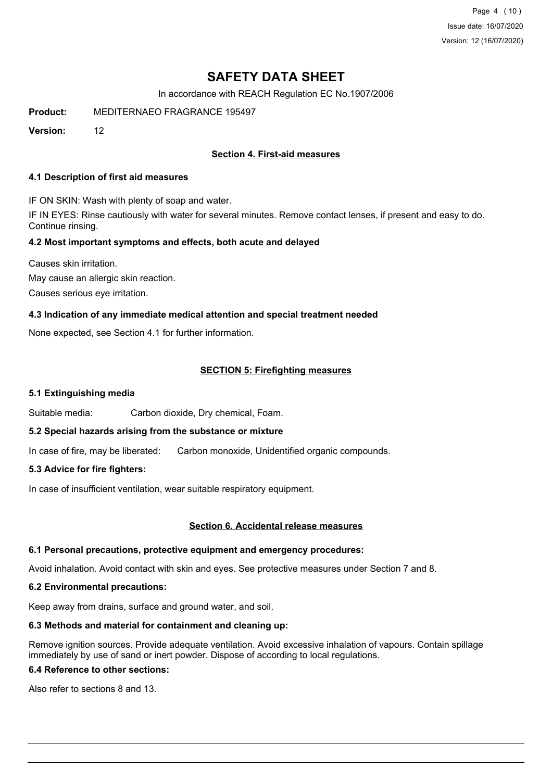Page 4 (10) Issue date: 16/07/2020 Version: 12 (16/07/2020)

# **SAFETY DATA SHEET**

In accordance with REACH Regulation EC No.1907/2006

**Product:** MEDITERNAEO FRAGRANCE 195497

**Version:** 12

## **Section 4. First-aid measures**

### **4.1 Description of first aid measures**

IF ON SKIN: Wash with plenty of soap and water.

IF IN EYES: Rinse cautiously with water for several minutes. Remove contact lenses, if present and easy to do. Continue rinsing.

### **4.2 Most important symptoms and effects, both acute and delayed**

Causes skin irritation. May cause an allergic skin reaction. Causes serious eye irritation.

### **4.3 Indication of any immediate medical attention and special treatment needed**

None expected, see Section 4.1 for further information.

### **SECTION 5: Firefighting measures**

### **5.1 Extinguishing media**

Suitable media: Carbon dioxide, Dry chemical, Foam.

### **5.2 Special hazards arising from the substance or mixture**

In case of fire, may be liberated: Carbon monoxide, Unidentified organic compounds.

### **5.3 Advice for fire fighters:**

In case of insufficient ventilation, wear suitable respiratory equipment.

### **Section 6. Accidental release measures**

### **6.1 Personal precautions, protective equipment and emergency procedures:**

Avoid inhalation. Avoid contact with skin and eyes. See protective measures under Section 7 and 8.

### **6.2 Environmental precautions:**

Keep away from drains, surface and ground water, and soil.

### **6.3 Methods and material for containment and cleaning up:**

Remove ignition sources. Provide adequate ventilation. Avoid excessive inhalation of vapours. Contain spillage immediately by use of sand or inert powder. Dispose of according to local regulations.

## **6.4 Reference to other sections:**

Also refer to sections 8 and 13.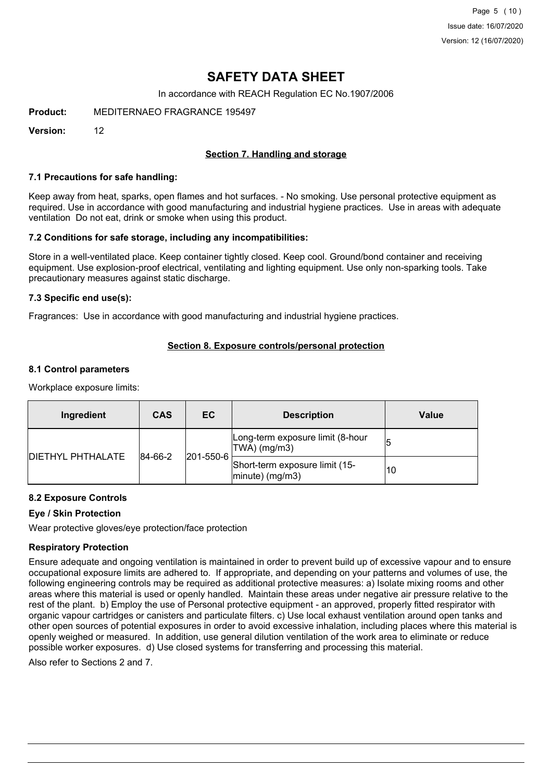Page 5 (10) Issue date: 16/07/2020 Version: 12 (16/07/2020)

## **SAFETY DATA SHEET**

In accordance with REACH Regulation EC No.1907/2006

**Product:** MEDITERNAEO FRAGRANCE 195497

**Version:** 12

## **Section 7. Handling and storage**

### **7.1 Precautions for safe handling:**

Keep away from heat, sparks, open flames and hot surfaces. - No smoking. Use personal protective equipment as required. Use in accordance with good manufacturing and industrial hygiene practices. Use in areas with adequate ventilation Do not eat, drink or smoke when using this product.

### **7.2 Conditions for safe storage, including any incompatibilities:**

Store in a well-ventilated place. Keep container tightly closed. Keep cool. Ground/bond container and receiving equipment. Use explosion-proof electrical, ventilating and lighting equipment. Use only non-sparking tools. Take precautionary measures against static discharge.

### **7.3 Specific end use(s):**

Fragrances: Use in accordance with good manufacturing and industrial hygiene practices.

### **Section 8. Exposure controls/personal protection**

### **8.1 Control parameters**

Workplace exposure limits:

| Ingredient               | <b>CAS</b>               | ЕC                                               | <b>Description</b>                                   | Value |
|--------------------------|--------------------------|--------------------------------------------------|------------------------------------------------------|-------|
|                          |                          | Long-term exposure limit (8-hour<br>TWA) (mg/m3) | 15                                                   |       |
| <b>DIETHYL PHTHALATE</b> | 201-550-6<br>$ 84-66-2 $ |                                                  | Short-term exposure limit (15-<br>$ minute)$ (mg/m3) | 10    |

### **8.2 Exposure Controls**

### **Eye / Skin Protection**

Wear protective gloves/eye protection/face protection

### **Respiratory Protection**

Ensure adequate and ongoing ventilation is maintained in order to prevent build up of excessive vapour and to ensure occupational exposure limits are adhered to. If appropriate, and depending on your patterns and volumes of use, the following engineering controls may be required as additional protective measures: a) Isolate mixing rooms and other areas where this material is used or openly handled. Maintain these areas under negative air pressure relative to the rest of the plant. b) Employ the use of Personal protective equipment - an approved, properly fitted respirator with organic vapour cartridges or canisters and particulate filters. c) Use local exhaust ventilation around open tanks and other open sources of potential exposures in order to avoid excessive inhalation, including places where this material is openly weighed or measured. In addition, use general dilution ventilation of the work area to eliminate or reduce possible worker exposures. d) Use closed systems for transferring and processing this material.

Also refer to Sections 2 and 7.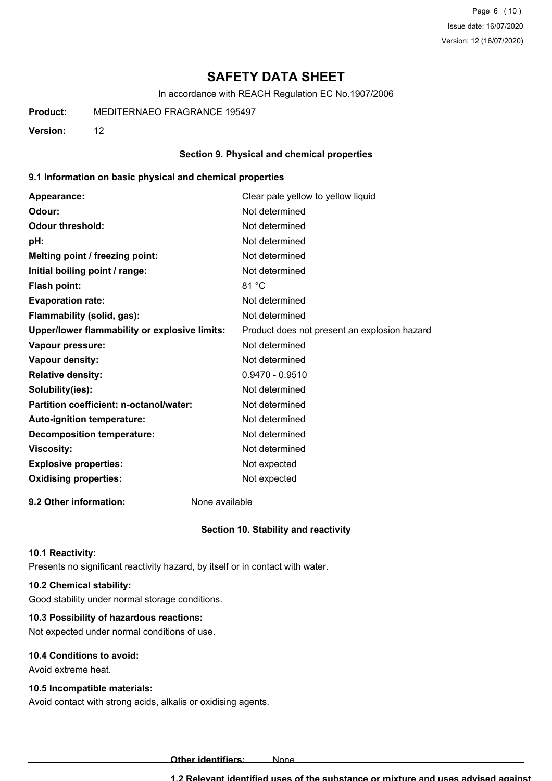Page 6 (10) Issue date: 16/07/2020 Version: 12 (16/07/2020)

## **SAFETY DATA SHEET**

In accordance with REACH Regulation EC No.1907/2006

**Product:** MEDITERNAEO FRAGRANCE 195497

**Version:** 12

### **Section 9. Physical and chemical properties**

### **9.1 Information on basic physical and chemical properties**

| Appearance:                                   | Clear pale yellow to yellow liquid           |
|-----------------------------------------------|----------------------------------------------|
| Odour:                                        | Not determined                               |
| <b>Odour threshold:</b>                       | Not determined                               |
| pH:                                           | Not determined                               |
| Melting point / freezing point:               | Not determined                               |
| Initial boiling point / range:                | Not determined                               |
| Flash point:                                  | 81 °C                                        |
| <b>Evaporation rate:</b>                      | Not determined                               |
| Flammability (solid, gas):                    | Not determined                               |
| Upper/lower flammability or explosive limits: | Product does not present an explosion hazard |
| Vapour pressure:                              | Not determined                               |
| <b>Vapour density:</b>                        | Not determined                               |
| <b>Relative density:</b>                      | $0.9470 - 0.9510$                            |
| Solubility(ies):                              | Not determined                               |
| Partition coefficient: n-octanol/water:       | Not determined                               |
| Auto-ignition temperature:                    | Not determined                               |
| <b>Decomposition temperature:</b>             | Not determined                               |
| <b>Viscosity:</b>                             | Not determined                               |
| <b>Explosive properties:</b>                  | Not expected                                 |
| <b>Oxidising properties:</b>                  | Not expected                                 |
|                                               |                                              |

**9.2 Other information:** None available

#### **Section 10. Stability and reactivity**

#### **10.1 Reactivity:**

Presents no significant reactivity hazard, by itself or in contact with water.

### **10.2 Chemical stability:**

Good stability under normal storage conditions.

### **10.3 Possibility of hazardous reactions:**

Not expected under normal conditions of use.

### **10.4 Conditions to avoid:**

Avoid extreme heat.

### **10.5 Incompatible materials:**

Avoid contact with strong acids, alkalis or oxidising agents.

**Other identifiers:** None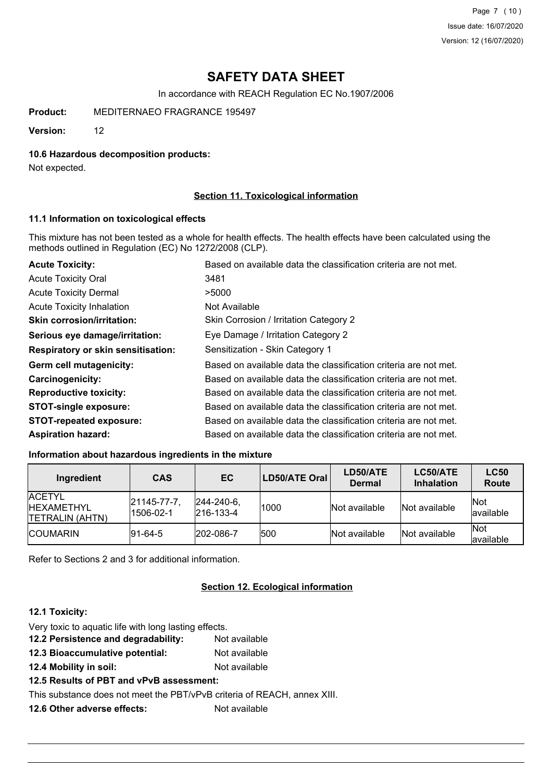Page 7 (10) Issue date: 16/07/2020 Version: 12 (16/07/2020)

# **SAFETY DATA SHEET**

In accordance with REACH Regulation EC No.1907/2006

**Product:** MEDITERNAEO FRAGRANCE 195497

**Version:** 12

### **10.6 Hazardous decomposition products:**

Not expected.

### **Section 11. Toxicological information**

### **11.1 Information on toxicological effects**

This mixture has not been tested as a whole for health effects. The health effects have been calculated using the methods outlined in Regulation (EC) No 1272/2008 (CLP).

| <b>Acute Toxicity:</b>                    | Based on available data the classification criteria are not met. |
|-------------------------------------------|------------------------------------------------------------------|
| <b>Acute Toxicity Oral</b>                | 3481                                                             |
| <b>Acute Toxicity Dermal</b>              | >5000                                                            |
| <b>Acute Toxicity Inhalation</b>          | Not Available                                                    |
| <b>Skin corrosion/irritation:</b>         | Skin Corrosion / Irritation Category 2                           |
| Serious eye damage/irritation:            | Eye Damage / Irritation Category 2                               |
| <b>Respiratory or skin sensitisation:</b> | Sensitization - Skin Category 1                                  |
| Germ cell mutagenicity:                   | Based on available data the classification criteria are not met. |
| <b>Carcinogenicity:</b>                   | Based on available data the classification criteria are not met. |
| <b>Reproductive toxicity:</b>             | Based on available data the classification criteria are not met. |
| <b>STOT-single exposure:</b>              | Based on available data the classification criteria are not met. |
| <b>STOT-repeated exposure:</b>            | Based on available data the classification criteria are not met. |
| <b>Aspiration hazard:</b>                 | Based on available data the classification criteria are not met. |

## **Information about hazardous ingredients in the mixture**

| Ingredient                                                    | <b>CAS</b>                      | EC                                     | LD50/ATE Oral | LD50/ATE<br><b>Dermal</b> | LC50/ATE<br><b>Inhalation</b> | <b>LC50</b><br>Route |
|---------------------------------------------------------------|---------------------------------|----------------------------------------|---------------|---------------------------|-------------------------------|----------------------|
| <b>ACETYL</b><br><b>IHEXAMETHYL</b><br><b>TETRALIN (AHTN)</b> | $ 21145 - 77 - 7 $<br>1506-02-1 | $ 244 - 240 - 6 $<br>$ 216 - 133 - 4 $ | 1000          | Not available             | Not available                 | Not<br>lavailable    |
| <b>ICOUMARIN</b>                                              | $ 91-64-5 $                     | 202-086-7                              | 500           | Not available             | Not available                 | Not<br>lavailable    |

Refer to Sections 2 and 3 for additional information.

## **Section 12. Ecological information**

### **12.1 Toxicity:**

- Very toxic to aquatic life with long lasting effects.
- **12.2 Persistence and degradability:** Not available
- **12.3 Bioaccumulative potential:** Not available
- **12.4 Mobility in soil:** Not available
- **12.5 Results of PBT and vPvB assessment:**

This substance does not meet the PBT/vPvB criteria of REACH, annex XIII.

**12.6 Other adverse effects:** Not available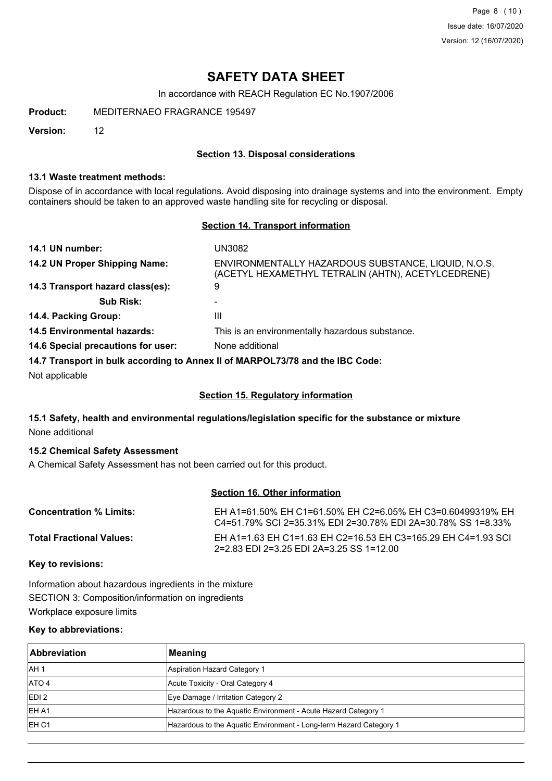Page 8 (10) Issue date: 16/07/2020 Version: 12 (16/07/2020)

## **SAFETY DATA SHEET**

In accordance with REACH Regulation EC No.1907/2006

**Product:** MEDITERNAEO FRAGRANCE 195497

**Version:** 12

### **Section 13. Disposal considerations**

### **13.1 Waste treatment methods:**

Dispose of in accordance with local regulations. Avoid disposing into drainage systems and into the environment. Empty containers should be taken to an approved waste handling site for recycling or disposal.

## **Section 14. Transport information**

| 14.1 UN number:                    | UN3082                                                                                                    |
|------------------------------------|-----------------------------------------------------------------------------------------------------------|
| 14.2 UN Proper Shipping Name:      | ENVIRONMENTALLY HAZARDOUS SUBSTANCE, LIQUID, N.O.S.<br>(ACETYL HEXAMETHYL TETRALIN (AHTN), ACETYLCEDRENE) |
| 14.3 Transport hazard class(es):   | 9                                                                                                         |
| <b>Sub Risk:</b>                   | -                                                                                                         |
| 14.4. Packing Group:               | Ш                                                                                                         |
| <b>14.5 Environmental hazards:</b> | This is an environmentally hazardous substance.                                                           |
| 14.6 Special precautions for user: | None additional                                                                                           |
|                                    | 14.7 Transport in bulk according to Annoy II of MADDOI 73/78 and the IRC Code:                            |

**14.7 Transport in bulk according to Annex II of MARPOL73/78 and the IBC Code:**

Not applicable

## **Section 15. Regulatory information**

## **15.1 Safety, health and environmental regulations/legislation specific for the substance or mixture** None additional

### **15.2 Chemical Safety Assessment**

A Chemical Safety Assessment has not been carried out for this product.

### **Section 16. Other information**

| <b>Concentration % Limits:</b>  | EH A1=61.50% EH C1=61.50% EH C2=6.05% EH C3=0.60499319% EH<br>C4=51.79% SCL2=35.31% EDL2=30.78% EDL2A=30.78% SS 1=8.33% |
|---------------------------------|-------------------------------------------------------------------------------------------------------------------------|
| <b>Total Fractional Values:</b> | EH A1=1.63 EH C1=1.63 EH C2=16.53 EH C3=165.29 EH C4=1.93 SCI<br>2=2.83 EDI 2=3.25 EDI 2A=3.25 SS 1=12.00               |

**Key to revisions:**

Information about hazardous ingredients in the mixture SECTION 3: Composition/information on ingredients Workplace exposure limits

### **Key to abbreviations:**

| <b>Abbreviation</b> | Meaning                                                            |
|---------------------|--------------------------------------------------------------------|
| IAH <sub>1</sub>    | Aspiration Hazard Category 1                                       |
| ATO 4               | Acute Toxicity - Oral Category 4                                   |
| EDI <sub>2</sub>    | Eye Damage / Irritation Category 2                                 |
| IEH A1              | Hazardous to the Aquatic Environment - Acute Hazard Category 1     |
| EH <sub>C1</sub>    | Hazardous to the Aquatic Environment - Long-term Hazard Category 1 |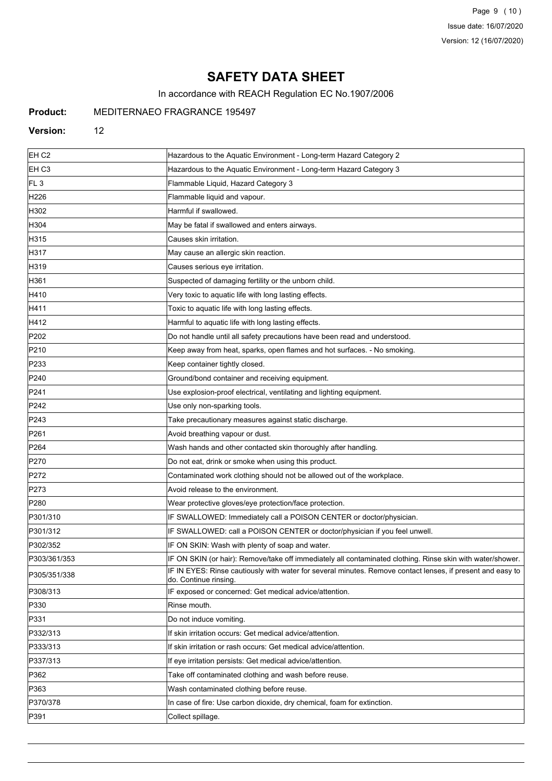Page 9 (10) Issue date: 16/07/2020 Version: 12 (16/07/2020)

# **SAFETY DATA SHEET**

In accordance with REACH Regulation EC No.1907/2006

## **Product:** MEDITERNAEO FRAGRANCE 195497

### **Version:** 12

| EH <sub>C2</sub> | Hazardous to the Aquatic Environment - Long-term Hazard Category 2                                                                  |
|------------------|-------------------------------------------------------------------------------------------------------------------------------------|
| EH C3            | Hazardous to the Aquatic Environment - Long-term Hazard Category 3                                                                  |
| FL <sub>3</sub>  | Flammable Liquid, Hazard Category 3                                                                                                 |
| H226             | Flammable liquid and vapour.                                                                                                        |
| H302             | Harmful if swallowed.                                                                                                               |
| H304             | May be fatal if swallowed and enters airways.                                                                                       |
| H315             | Causes skin irritation.                                                                                                             |
| H317             | May cause an allergic skin reaction.                                                                                                |
| H319             | Causes serious eye irritation.                                                                                                      |
| H361             | Suspected of damaging fertility or the unborn child.                                                                                |
| H410             | Very toxic to aquatic life with long lasting effects.                                                                               |
| H411             | Toxic to aquatic life with long lasting effects.                                                                                    |
| H412             | Harmful to aquatic life with long lasting effects.                                                                                  |
| P202             | Do not handle until all safety precautions have been read and understood.                                                           |
| P210             | Keep away from heat, sparks, open flames and hot surfaces. - No smoking.                                                            |
| P233             | Keep container tightly closed.                                                                                                      |
| P240             | Ground/bond container and receiving equipment.                                                                                      |
| P241             | Use explosion-proof electrical, ventilating and lighting equipment.                                                                 |
| P242             | Use only non-sparking tools.                                                                                                        |
| P243             | Take precautionary measures against static discharge.                                                                               |
| P261             | Avoid breathing vapour or dust.                                                                                                     |
| P <sub>264</sub> | Wash hands and other contacted skin thoroughly after handling.                                                                      |
| P270             | Do not eat, drink or smoke when using this product.                                                                                 |
| P272             | Contaminated work clothing should not be allowed out of the workplace.                                                              |
| P273             | Avoid release to the environment.                                                                                                   |
| P <sub>280</sub> | Wear protective gloves/eye protection/face protection.                                                                              |
| P301/310         | IF SWALLOWED: Immediately call a POISON CENTER or doctor/physician.                                                                 |
| P301/312         | IF SWALLOWED: call a POISON CENTER or doctor/physician if you feel unwell.                                                          |
| P302/352         | IF ON SKIN: Wash with plenty of soap and water.                                                                                     |
| P303/361/353     | IF ON SKIN (or hair): Remove/take off immediately all contaminated clothing. Rinse skin with water/shower.                          |
| P305/351/338     | IF IN EYES: Rinse cautiously with water for several minutes. Remove contact lenses, if present and easy to<br>do. Continue rinsing. |
| P308/313         | IF exposed or concerned: Get medical advice/attention.                                                                              |
| P330             | Rinse mouth.                                                                                                                        |
| P331             | Do not induce vomiting.                                                                                                             |
| P332/313         | If skin irritation occurs: Get medical advice/attention.                                                                            |
| P333/313         | If skin irritation or rash occurs: Get medical advice/attention.                                                                    |
| P337/313         | If eye irritation persists: Get medical advice/attention.                                                                           |
| P362             | Take off contaminated clothing and wash before reuse.                                                                               |
| P363             | Wash contaminated clothing before reuse.                                                                                            |
| P370/378         | In case of fire: Use carbon dioxide, dry chemical, foam for extinction.                                                             |
| P391             | Collect spillage.                                                                                                                   |
|                  |                                                                                                                                     |